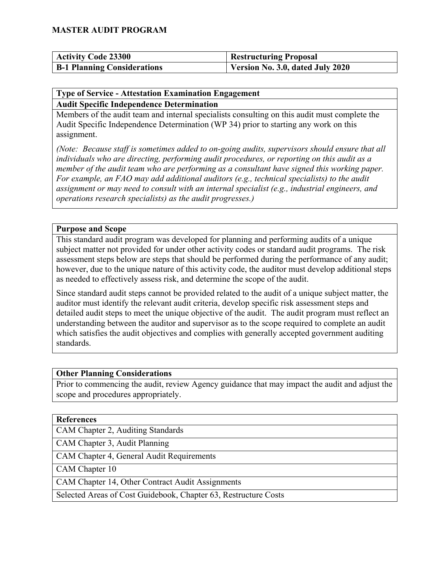| <b>Activity Code 23300</b>         | <b>Restructuring Proposal</b>    |
|------------------------------------|----------------------------------|
| <b>B-1 Planning Considerations</b> | Version No. 3.0, dated July 2020 |

#### **Type of Service - Attestation Examination Engagement Audit Specific Independence Determination**

Members of the audit team and internal specialists consulting on this audit must complete the Audit Specific Independence Determination (WP 34) prior to starting any work on this assignment.

*(Note: Because staff is sometimes added to on-going audits, supervisors should ensure that all individuals who are directing, performing audit procedures, or reporting on this audit as a member of the audit team who are performing as a consultant have signed this working paper. For example, an FAO may add additional auditors (e.g., technical specialists) to the audit assignment or may need to consult with an internal specialist (e.g., industrial engineers, and operations research specialists) as the audit progresses.)*

#### **Purpose and Scope**

This standard audit program was developed for planning and performing audits of a unique subject matter not provided for under other activity codes or standard audit programs. The risk assessment steps below are steps that should be performed during the performance of any audit; however, due to the unique nature of this activity code, the auditor must develop additional steps as needed to effectively assess risk, and determine the scope of the audit.

Since standard audit steps cannot be provided related to the audit of a unique subject matter, the auditor must identify the relevant audit criteria, develop specific risk assessment steps and detailed audit steps to meet the unique objective of the audit. The audit program must reflect an understanding between the auditor and supervisor as to the scope required to complete an audit which satisfies the audit objectives and complies with generally accepted government auditing standards.

#### **Other Planning Considerations**

Prior to commencing the audit, review Agency guidance that may impact the audit and adjust the scope and procedures appropriately.

#### **References**

CAM Chapter 2, Auditing Standards

CAM Chapter 3, Audit Planning

CAM Chapter 4, General Audit Requirements

CAM Chapter 10

CAM Chapter 14, Other Contract Audit Assignments

Selected Areas of Cost Guidebook, Chapter 63, Restructure Costs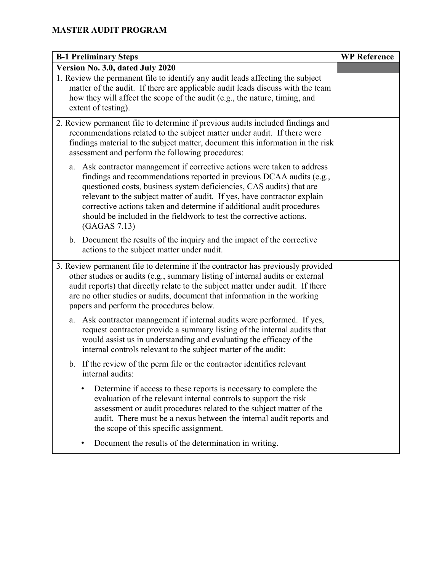| <b>B-1 Preliminary Steps</b>                                                                                                                                                                                                                                                                                                                                                                                                                                         | <b>WP Reference</b> |
|----------------------------------------------------------------------------------------------------------------------------------------------------------------------------------------------------------------------------------------------------------------------------------------------------------------------------------------------------------------------------------------------------------------------------------------------------------------------|---------------------|
| Version No. 3.0, dated July 2020                                                                                                                                                                                                                                                                                                                                                                                                                                     |                     |
| 1. Review the permanent file to identify any audit leads affecting the subject<br>matter of the audit. If there are applicable audit leads discuss with the team<br>how they will affect the scope of the audit (e.g., the nature, timing, and<br>extent of testing).                                                                                                                                                                                                |                     |
| 2. Review permanent file to determine if previous audits included findings and<br>recommendations related to the subject matter under audit. If there were<br>findings material to the subject matter, document this information in the risk<br>assessment and perform the following procedures:                                                                                                                                                                     |                     |
| a. Ask contractor management if corrective actions were taken to address<br>findings and recommendations reported in previous DCAA audits (e.g.,<br>questioned costs, business system deficiencies, CAS audits) that are<br>relevant to the subject matter of audit. If yes, have contractor explain<br>corrective actions taken and determine if additional audit procedures<br>should be included in the fieldwork to test the corrective actions.<br>(GAGAS 7.13) |                     |
| b. Document the results of the inquiry and the impact of the corrective<br>actions to the subject matter under audit.                                                                                                                                                                                                                                                                                                                                                |                     |
| 3. Review permanent file to determine if the contractor has previously provided<br>other studies or audits (e.g., summary listing of internal audits or external<br>audit reports) that directly relate to the subject matter under audit. If there<br>are no other studies or audits, document that information in the working<br>papers and perform the procedures below.                                                                                          |                     |
| Ask contractor management if internal audits were performed. If yes,<br>a.<br>request contractor provide a summary listing of the internal audits that<br>would assist us in understanding and evaluating the efficacy of the<br>internal controls relevant to the subject matter of the audit:                                                                                                                                                                      |                     |
| b. If the review of the perm file or the contractor identifies relevant<br>internal audits:                                                                                                                                                                                                                                                                                                                                                                          |                     |
| Determine if access to these reports is necessary to complete the<br>evaluation of the relevant internal controls to support the risk<br>assessment or audit procedures related to the subject matter of the<br>audit. There must be a nexus between the internal audit reports and<br>the scope of this specific assignment.                                                                                                                                        |                     |
| Document the results of the determination in writing.                                                                                                                                                                                                                                                                                                                                                                                                                |                     |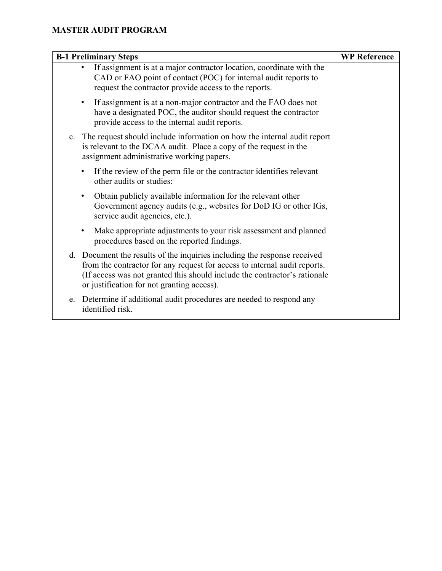| <b>B-1 Preliminary Steps</b>                                                                                                                                                                                                                                                        | <b>WP</b> Reference |
|-------------------------------------------------------------------------------------------------------------------------------------------------------------------------------------------------------------------------------------------------------------------------------------|---------------------|
| If assignment is at a major contractor location, coordinate with the<br>CAD or FAO point of contact (POC) for internal audit reports to<br>request the contractor provide access to the reports.                                                                                    |                     |
| If assignment is at a non-major contractor and the FAO does not<br>$\bullet$<br>have a designated POC, the auditor should request the contractor<br>provide access to the internal audit reports.                                                                                   |                     |
| The request should include information on how the internal audit report<br>c.<br>is relevant to the DCAA audit. Place a copy of the request in the<br>assignment administrative working papers.                                                                                     |                     |
| If the review of the perm file or the contractor identifies relevant<br>$\bullet$<br>other audits or studies:                                                                                                                                                                       |                     |
| Obtain publicly available information for the relevant other<br>$\bullet$<br>Government agency audits (e.g., websites for DoD IG or other IGs,<br>service audit agencies, etc.).                                                                                                    |                     |
| Make appropriate adjustments to your risk assessment and planned<br>$\bullet$<br>procedures based on the reported findings.                                                                                                                                                         |                     |
| Document the results of the inquiries including the response received<br>d.<br>from the contractor for any request for access to internal audit reports.<br>(If access was not granted this should include the contractor's rationale<br>or justification for not granting access). |                     |
| Determine if additional audit procedures are needed to respond any<br>e.<br>identified risk.                                                                                                                                                                                        |                     |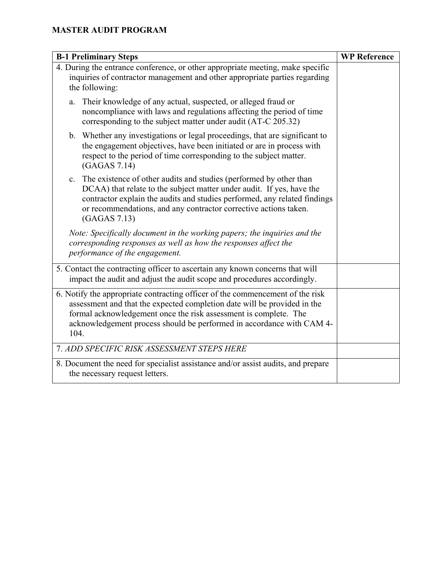| <b>B-1 Preliminary Steps</b>                                                                                                                                                                                                                                                                                                   | <b>WP</b> Reference |
|--------------------------------------------------------------------------------------------------------------------------------------------------------------------------------------------------------------------------------------------------------------------------------------------------------------------------------|---------------------|
| 4. During the entrance conference, or other appropriate meeting, make specific<br>inquiries of contractor management and other appropriate parties regarding<br>the following:                                                                                                                                                 |                     |
| Their knowledge of any actual, suspected, or alleged fraud or<br>a.<br>noncompliance with laws and regulations affecting the period of time<br>corresponding to the subject matter under audit (AT-C 205.32)                                                                                                                   |                     |
| b. Whether any investigations or legal proceedings, that are significant to<br>the engagement objectives, have been initiated or are in process with<br>respect to the period of time corresponding to the subject matter.<br>(GAGAS 7.14)                                                                                     |                     |
| The existence of other audits and studies (performed by other than<br>$\mathbf{c}$ .<br>DCAA) that relate to the subject matter under audit. If yes, have the<br>contractor explain the audits and studies performed, any related findings<br>or recommendations, and any contractor corrective actions taken.<br>(GAGAS 7.13) |                     |
| Note: Specifically document in the working papers; the inquiries and the<br>corresponding responses as well as how the responses affect the<br>performance of the engagement.                                                                                                                                                  |                     |
| 5. Contact the contracting officer to ascertain any known concerns that will<br>impact the audit and adjust the audit scope and procedures accordingly.                                                                                                                                                                        |                     |
| 6. Notify the appropriate contracting officer of the commencement of the risk<br>assessment and that the expected completion date will be provided in the<br>formal acknowledgement once the risk assessment is complete. The<br>acknowledgement process should be performed in accordance with CAM 4-<br>104.                 |                     |
| 7. ADD SPECIFIC RISK ASSESSMENT STEPS HERE                                                                                                                                                                                                                                                                                     |                     |
| 8. Document the need for specialist assistance and/or assist audits, and prepare<br>the necessary request letters.                                                                                                                                                                                                             |                     |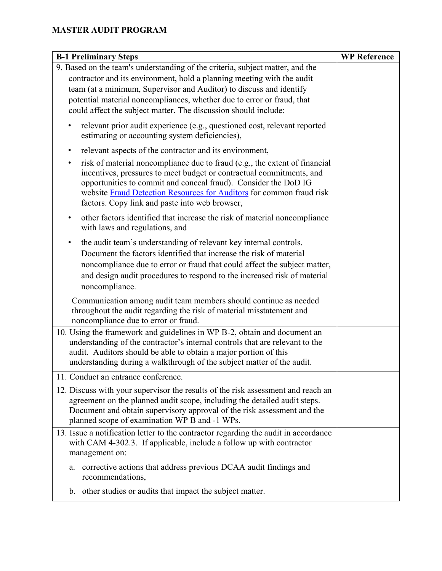| <b>B-1 Preliminary Steps</b>                                                                                                                                                                                                                                                                                                                                 | <b>WP Reference</b> |
|--------------------------------------------------------------------------------------------------------------------------------------------------------------------------------------------------------------------------------------------------------------------------------------------------------------------------------------------------------------|---------------------|
| 9. Based on the team's understanding of the criteria, subject matter, and the                                                                                                                                                                                                                                                                                |                     |
| contractor and its environment, hold a planning meeting with the audit                                                                                                                                                                                                                                                                                       |                     |
| team (at a minimum, Supervisor and Auditor) to discuss and identify                                                                                                                                                                                                                                                                                          |                     |
| potential material noncompliances, whether due to error or fraud, that                                                                                                                                                                                                                                                                                       |                     |
| could affect the subject matter. The discussion should include:                                                                                                                                                                                                                                                                                              |                     |
| relevant prior audit experience (e.g., questioned cost, relevant reported<br>estimating or accounting system deficiencies),                                                                                                                                                                                                                                  |                     |
| relevant aspects of the contractor and its environment,<br>٠                                                                                                                                                                                                                                                                                                 |                     |
| risk of material noncompliance due to fraud (e.g., the extent of financial<br>$\bullet$<br>incentives, pressures to meet budget or contractual commitments, and<br>opportunities to commit and conceal fraud). Consider the DoD IG<br>website Fraud Detection Resources for Auditors for common fraud risk<br>factors. Copy link and paste into web browser, |                     |
| other factors identified that increase the risk of material noncompliance<br>٠<br>with laws and regulations, and                                                                                                                                                                                                                                             |                     |
| the audit team's understanding of relevant key internal controls.<br>Document the factors identified that increase the risk of material<br>noncompliance due to error or fraud that could affect the subject matter,<br>and design audit procedures to respond to the increased risk of material<br>noncompliance.                                           |                     |
| Communication among audit team members should continue as needed<br>throughout the audit regarding the risk of material misstatement and<br>noncompliance due to error or fraud.                                                                                                                                                                             |                     |
| 10. Using the framework and guidelines in WP B-2, obtain and document an<br>understanding of the contractor's internal controls that are relevant to the<br>audit. Auditors should be able to obtain a major portion of this<br>understanding during a walkthrough of the subject matter of the audit.                                                       |                     |
| 11. Conduct an entrance conference.                                                                                                                                                                                                                                                                                                                          |                     |
| 12. Discuss with your supervisor the results of the risk assessment and reach an<br>agreement on the planned audit scope, including the detailed audit steps.<br>Document and obtain supervisory approval of the risk assessment and the<br>planned scope of examination WP B and -1 WPs.                                                                    |                     |
| 13. Issue a notification letter to the contractor regarding the audit in accordance<br>with CAM 4-302.3. If applicable, include a follow up with contractor<br>management on:                                                                                                                                                                                |                     |
| corrective actions that address previous DCAA audit findings and<br>a.<br>recommendations,                                                                                                                                                                                                                                                                   |                     |
| b. other studies or audits that impact the subject matter.                                                                                                                                                                                                                                                                                                   |                     |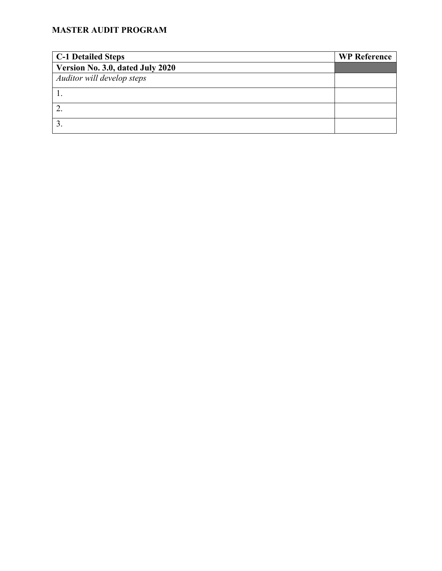| <b>C-1 Detailed Steps</b>        | <b>WP Reference</b> |
|----------------------------------|---------------------|
| Version No. 3.0, dated July 2020 |                     |
| Auditor will develop steps       |                     |
|                                  |                     |
|                                  |                     |
|                                  |                     |